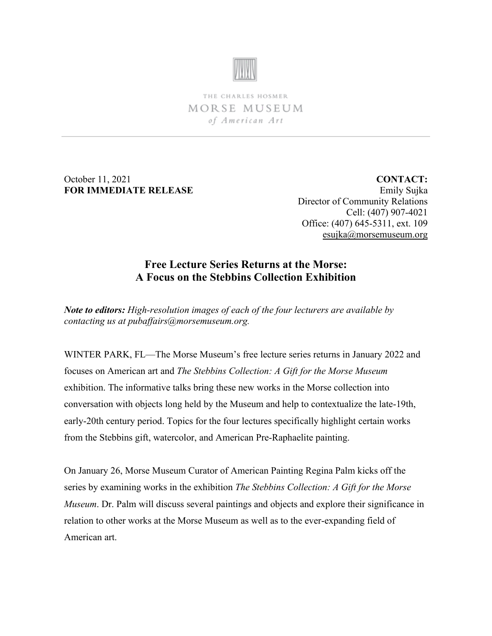

THE CHARLES HOSMER MORSE MUSEUM of American Art

October 11, 2021 **FOR IMMEDIATE RELEASE**

**CONTACT:** Emily Sujka Director of Community Relations Cell: (407) 907-4021 Office: (407) 645-5311, ext. 109 [esujka@morsemuseum.org](mailto:esujka@morsemuseum.org)

# **Free Lecture Series Returns at the Morse: A Focus on the Stebbins Collection Exhibition**

*Note to editors: High-resolution images of each of the four lecturers are available by contacting us at pubaffairs@morsemuseum.org.*

WINTER PARK, FL—The Morse Museum's free lecture series returns in January 2022 and focuses on American art and *The Stebbins Collection: A Gift for the Morse Museum* exhibition. The informative talks bring these new works in the Morse collection into conversation with objects long held by the Museum and help to contextualize the late-19th, early-20th century period. Topics for the four lectures specifically highlight certain works from the Stebbins gift, watercolor, and American Pre-Raphaelite painting.

On January 26, Morse Museum Curator of American Painting Regina Palm kicks off the series by examining works in the exhibition *The Stebbins Collection: A Gift for the Morse Museum*. Dr. Palm will discuss several paintings and objects and explore their significance in relation to other works at the Morse Museum as well as to the ever-expanding field of American art.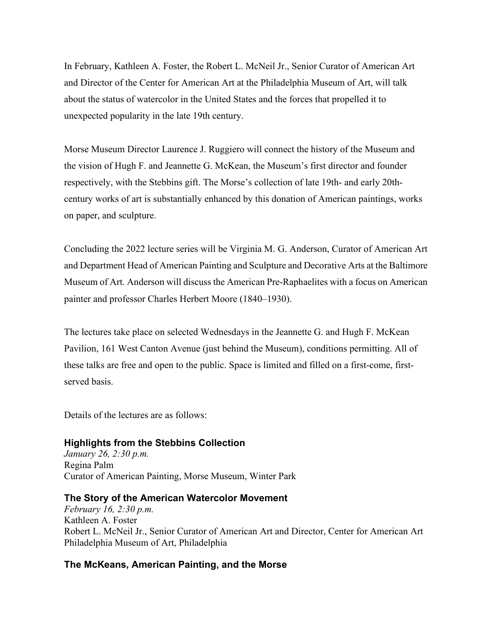In February, Kathleen A. Foster, the Robert L. McNeil Jr., Senior Curator of American Art and Director of the Center for American Art at the Philadelphia Museum of Art, will talk about the status of watercolor in the United States and the forces that propelled it to unexpected popularity in the late 19th century.

Morse Museum Director Laurence J. Ruggiero will connect the history of the Museum and the vision of Hugh F. and Jeannette G. McKean, the Museum's first director and founder respectively, with the Stebbins gift. The Morse's collection of late 19th- and early 20thcentury works of art is substantially enhanced by this donation of American paintings, works on paper, and sculpture.

Concluding the 2022 lecture series will be Virginia M. G. Anderson, Curator of American Art and Department Head of American Painting and Sculpture and Decorative Arts at the Baltimore Museum of Art. Anderson will discuss the American Pre-Raphaelites with a focus on American painter and professor Charles Herbert Moore (1840–1930).

The lectures take place on selected Wednesdays in the Jeannette G. and Hugh F. McKean Pavilion, 161 West Canton Avenue (just behind the Museum), conditions permitting. All of these talks are free and open to the public. Space is limited and filled on a first-come, firstserved basis.

Details of the lectures are as follows:

## **Highlights from the Stebbins Collection**

*January 26, 2:30 p.m.* Regina Palm Curator of American Painting, Morse Museum, Winter Park

#### **The Story of the American Watercolor Movement**

*February 16, 2:30 p.m.* Kathleen A. Foster Robert L. McNeil Jr., Senior Curator of American Art and Director, Center for American Art Philadelphia Museum of Art, Philadelphia

## **The McKeans, American Painting, and the Morse**